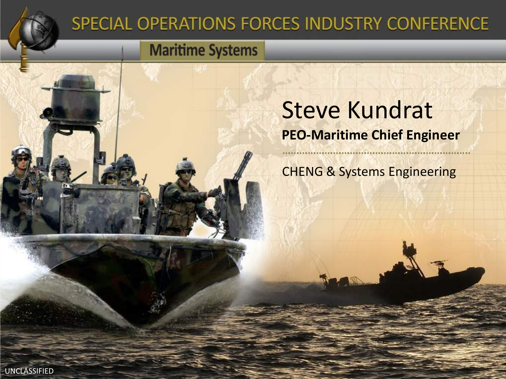

### SPECIAL OPERATIONS FORCES INDUSTRY CONFERENCE

#### **Maritime Systems**

### Steve Kundrat **PEO-Maritime Chief Engineer**

CHENG & Systems Engineering

..............................

UNCLASSIFIED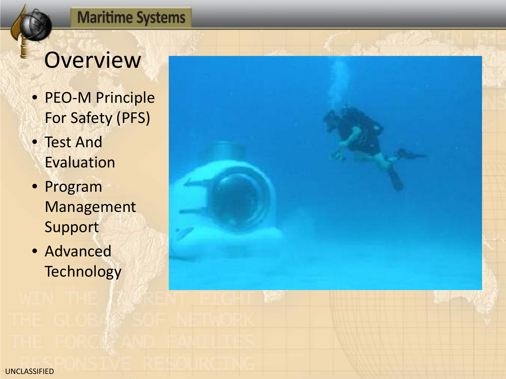### **Overview**

- PEO-M Principle For Safety (PFS)
- Test And Evaluation
- Program Management Support
- Advanced **Technology**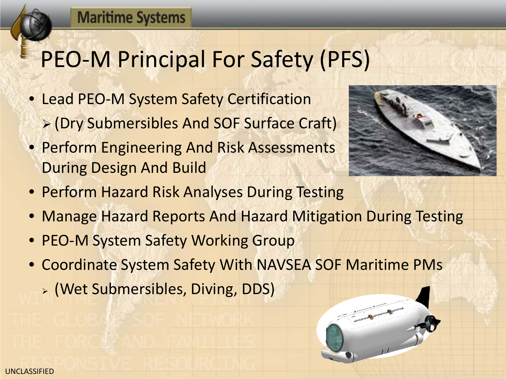# PEO-M Principal For Safety (PFS)

- Lead PEO-M System Safety Certification (Dry Submersibles And SOF Surface Craft)
- Perform Engineering And Risk Assessments During Design And Build



- Perform Hazard Risk Analyses During Testing
- Manage Hazard Reports And Hazard Mitigation During Testing
- PEO-M System Safety Working Group
- Coordinate System Safety With NAVSEA SOF Maritime PMs
	- (Wet Submersibles, Diving, DDS)

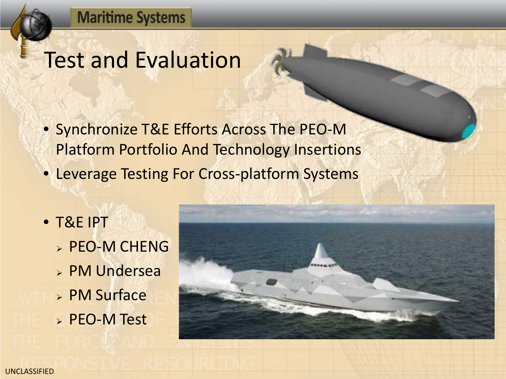### Test and Evaluation

- Synchronize T&E Efforts Across The PEO-M Platform Portfolio And Technology Insertions
- Leverage Testing For Cross-platform Systems
- T&E IPT **> PEO-M CHENG**  PM Undersea PM Surface PEO-M Test

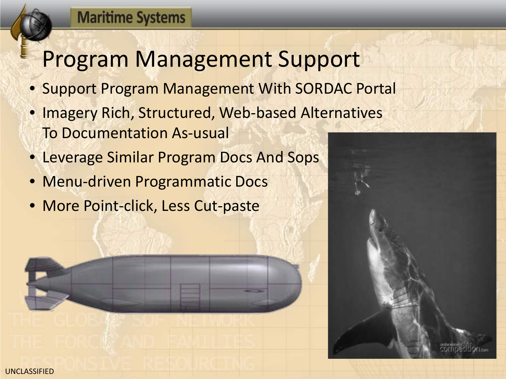### Program Management Support

- Support Program Management With SORDAC Portal
- Imagery Rich, Structured, Web-based Alternatives To Documentation As-usual
- Leverage Similar Program Docs And Sops
- Menu-driven Programmatic Docs
- More Point-click, Less Cut-paste



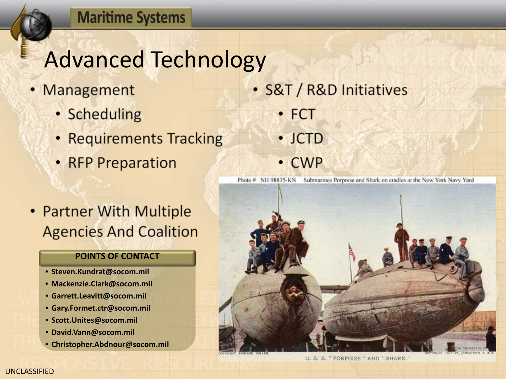### Advanced Technology

- Management
	- Scheduling
	- Requirements Tracking
	- RFP Preparation
- Partner With Multiple **Agencies And Coalition**

#### **POINTS OF CONTACT**

- **Steven.Kundrat@socom.mil**
- **Mackenzie.Clark@socom.mil**
- **Garrett.Leavitt@socom.mil**
- **Gary.Formet.ctr@socom.mil**
- **Scott.Unites@socom.mil**
- **David.Vann@socom.mil**
- **Christopher.Abdnour@socom.mil**
- · S&T / R&D Initiatives
	- $\cdot$  FCT
	- $\cdot$  JCTD
	- **CWP**

Photo # NH 98835-KN Submarines Porpoise and Shark on cradles at the New York Navy Yard



U. S. S. " PORPOISE" AND "SHARK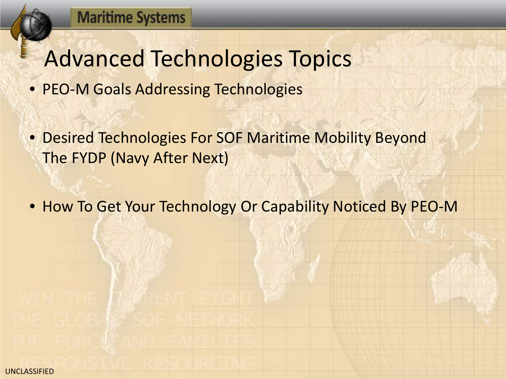### Advanced Technologies Topics

- PEO-M Goals Addressing Technologies
- Desired Technologies For SOF Maritime Mobility Beyond The FYDP (Navy After Next)
- How To Get Your Technology Or Capability Noticed By PEO-M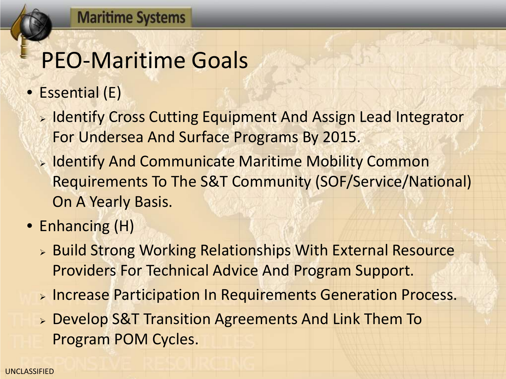### PEO-Maritime Goals

- Essential (E)
	- **Example 11 Figure 10 September 11 Figure 11 Figure 20 Figure 20 Figure 20 Figure 20 Figure 20 Figure 20 Figure 20 Figure 20 Figure 20 Figure 20 Figure 20 Figure 20 Figure 20 Figure 20 Figure 20 Figure 20 Figure 20 Figure** For Undersea And Surface Programs By 2015.
	- **Example 11 You allow Theory Andring Common** Superingth Mobility Common Requirements To The S&T Community (SOF/Service/National) On A Yearly Basis.
- Enhancing (H)
	- **EXAGO AT STRONG WORKING RELATIONSHIPS With External Resource** Providers For Technical Advice And Program Support.
	- **EXTERS PARTILLE PARTIER IN REQUIREMENTS Generation Process.**
	- Develop S&T Transition Agreements And Link Them To Program POM Cycles.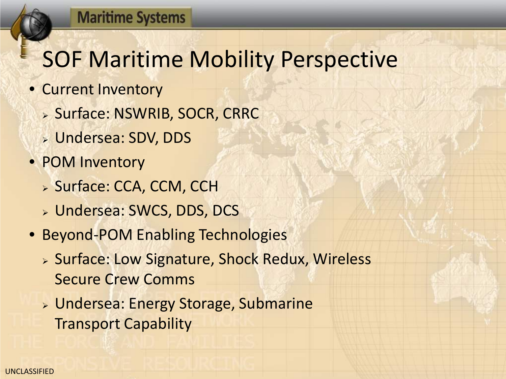# SOF Maritime Mobility Perspective

- Current Inventory
	- **> Surface: NSWRIB, SOCR, CRRC**
	- Undersea: SDV, DDS
- POM Inventory
	- > Surface: CCA, CCM, CCH
	- Undersea: SWCS, DDS, DCS
- Beyond-POM Enabling Technologies
	- **> Surface: Low Signature, Shock Redux, Wireless** Secure Crew Comms
	- Undersea: Energy Storage, Submarine Transport Capability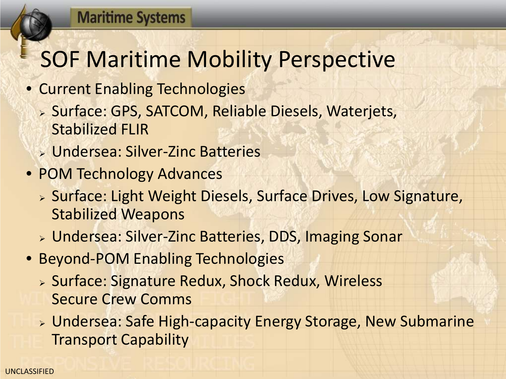## SOF Maritime Mobility Perspective

- Current Enabling Technologies
	- **> Surface: GPS, SATCOM, Reliable Diesels, Waterjets,** Stabilized FLIR
	- Undersea: Silver-Zinc Batteries
- POM Technology Advances
	- > Surface: Light Weight Diesels, Surface Drives, Low Signature, Stabilized Weapons
	- Undersea: Silver-Zinc Batteries, DDS, Imaging Sonar
- Beyond-POM Enabling Technologies
	- **> Surface: Signature Redux, Shock Redux, Wireless** Secure Crew Comms
	- Undersea: Safe High-capacity Energy Storage, New Submarine Transport Capability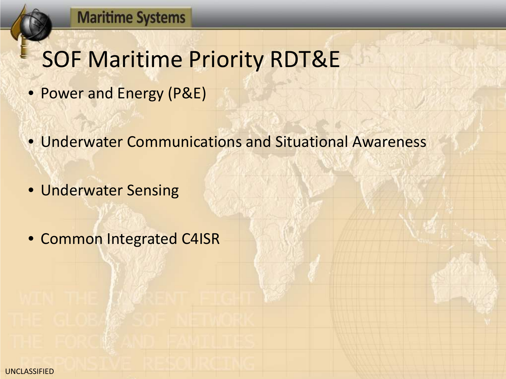### SOF Maritime Priority RDT&E

- Power and Energy (P&E)
- Underwater Communications and Situational Awareness
- Underwater Sensing
- Common Integrated C4ISR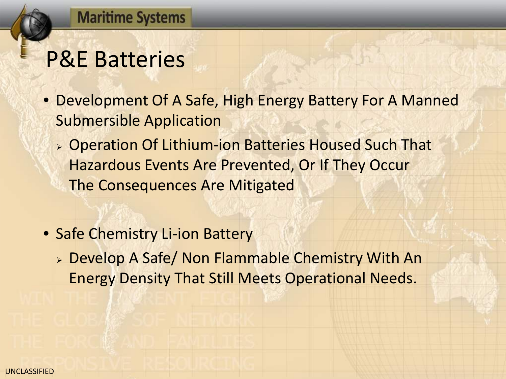### P&E Batteries

- Development Of A Safe, High Energy Battery For A Manned Submersible Application
	- Operation Of Lithium-ion Batteries Housed Such That Hazardous Events Are Prevented, Or If They Occur The Consequences Are Mitigated
- Safe Chemistry Li-ion Battery
	- Develop A Safe/ Non Flammable Chemistry With An Energy Density That Still Meets Operational Needs.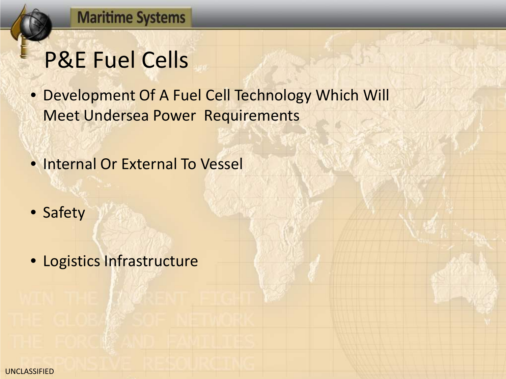## P&E Fuel Cells

- Development Of A Fuel Cell Technology Which Will Meet Undersea Power Requirements
- Internal Or External To Vessel
- Safety
- Logistics Infrastructure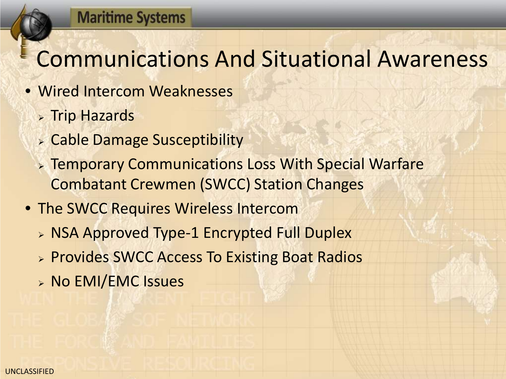### Communications And Situational Awareness

- Wired Intercom Weaknesses
	- **> Trip Hazards**
	- Cable Damage Susceptibility
	- **EXA:** Temporary Communications Loss With Special Warfare Combatant Crewmen (SWCC) Station Changes
- The SWCC Requires Wireless Intercom
	- **> NSA Approved Type-1 Encrypted Full Duplex**
	- **> Provides SWCC Access To Existing Boat Radios**
	- **> No EMI/EMC Issues**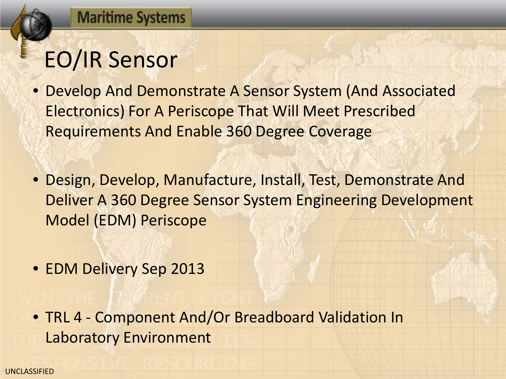# EO/IR Sensor

- Develop And Demonstrate A Sensor System (And Associated Electronics) For A Periscope That Will Meet Prescribed Requirements And Enable 360 Degree Coverage
- Design, Develop, Manufacture, Install, Test, Demonstrate And Deliver A 360 Degree Sensor System Engineering Development Model (EDM) Periscope
- EDM Delivery Sep 2013
- TRL 4 Component And/Or Breadboard Validation In Laboratory Environment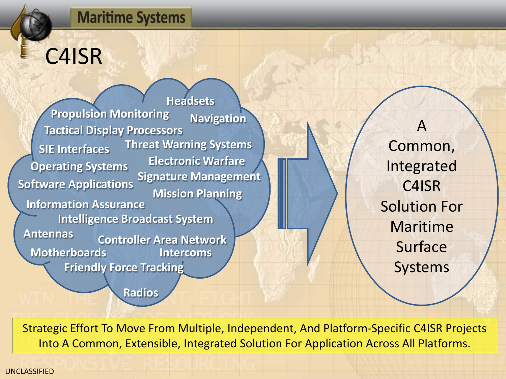### C4ISR

**Headsets Intercoms Antennas Motherboards Operating Systems SIE Interfaces Software Applications Information Assurance Propulsion Monitoring Navigation Controller Area Network Threat Warning Systems Intelligence Broadcast System Tactical Display Processors Electronic Warfare Signature Management Friendly Force Tracking Mission Planning**

**Radios**

Common, Integrated C4ISR Solution For Maritime Surface Systems

A

Strategic Effort To Move From Multiple, Independent, And Platform-Specific C4ISR Projects Into A Common, Extensible, Integrated Solution For Application Across All Platforms.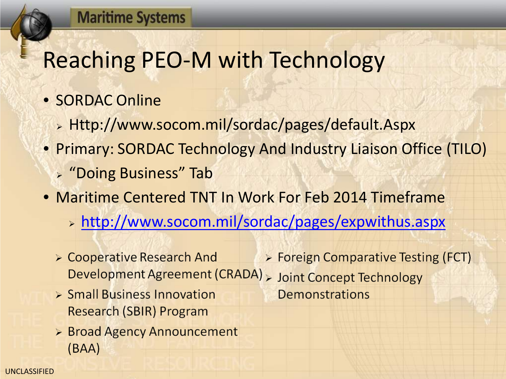# Reaching PEO-M with Technology

- SORDAC Online
	- Http://www.socom.mil/sordac/pages/default.Aspx
- Primary: SORDAC Technology And Industry Liaison Office (TILO)
	- "Doing Business" Tab
- Maritime Centered TNT In Work For Feb 2014 Timeframe
	- > [http://www.socom.mil/sordac/pages/expwithus.aspx](http://www.socom.mil/Sordac/Pages/Expwithus.Aspx)
	- > Foreign Comparative Testing (FCT) ► Cooperative Research And Development Agreement (CRADA) > Joint Concept Technology
	- > Small Business Innovation Research (SBIR) Program
	- $\triangleright$  Broad Agency Announcement  $(BAA)$
- 
- Demonstrations